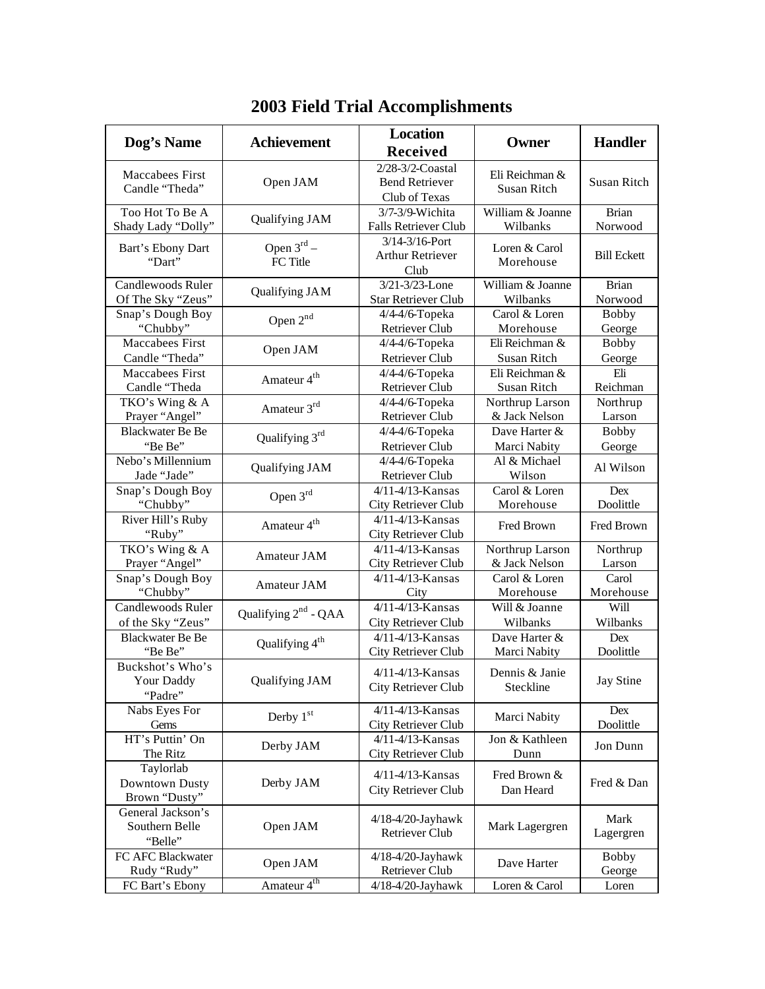| Dog's Name                                     | <b>Achievement</b>                 | <b>Location</b><br><b>Received</b>                         | Owner                                | <b>Handler</b>         |
|------------------------------------------------|------------------------------------|------------------------------------------------------------|--------------------------------------|------------------------|
| Maccabees First<br>Candle "Theda"              | Open JAM                           | 2/28-3/2-Coastal<br><b>Bend Retriever</b><br>Club of Texas | Eli Reichman &<br><b>Susan Ritch</b> | <b>Susan Ritch</b>     |
| Too Hot To Be A                                | Qualifying JAM                     | 3/7-3/9-Wichita                                            | William & Joanne                     | <b>Brian</b>           |
| Shady Lady "Dolly"                             |                                    | Falls Retriever Club                                       | Wilbanks                             | Norwood                |
| Bart's Ebony Dart<br>"Dart"                    | Open $3^{\text{rd}}$ –<br>FC Title | 3/14-3/16-Port<br><b>Arthur Retriever</b><br>Club          | Loren & Carol<br>Morehouse           | <b>Bill Eckett</b>     |
| Candlewoods Ruler                              | Qualifying JAM                     | 3/21-3/23-Lone                                             | William & Joanne                     | <b>Brian</b>           |
| Of The Sky "Zeus"                              |                                    | <b>Star Retriever Club</b>                                 | Wilbanks                             | Norwood                |
| Snap's Dough Boy                               | Open 2 <sup>nd</sup>               | 4/4-4/6-Topeka                                             | Carol & Loren                        | <b>Bobby</b>           |
| "Chubby"                                       |                                    | Retriever Club                                             | Morehouse                            | George                 |
| Maccabees First                                | Open JAM                           | 4/4-4/6-Topeka                                             | Eli Reichman &                       | <b>Bobby</b>           |
| Candle "Theda"                                 |                                    | <b>Retriever Club</b>                                      | Susan Ritch                          | George                 |
| Maccabees First                                | Amateur 4 <sup>th</sup>            | 4/4-4/6-Topeka                                             | Eli Reichman &                       | Eli                    |
| Candle "Theda                                  |                                    | <b>Retriever Club</b>                                      | Susan Ritch                          | Reichman               |
| TKO's Wing & A                                 | Amateur 3rd                        | 4/4-4/6-Topeka                                             | Northrup Larson                      | Northrup               |
| Prayer "Angel"                                 |                                    | Retriever Club                                             | & Jack Nelson                        | Larson                 |
| <b>Blackwater Be Be</b>                        | Qualifying 3rd                     | 4/4-4/6-Topeka                                             | Dave Harter &                        | <b>Bobby</b>           |
| "Be Be"                                        |                                    | <b>Retriever Club</b>                                      | Marci Nabity                         | George                 |
| Nebo's Millennium<br>Jade "Jade"               | Qualifying JAM                     | 4/4-4/6-Topeka<br>Retriever Club                           | Al & Michael<br>Wilson               | Al Wilson              |
| Snap's Dough Boy                               | Open $3rd$                         | 4/11-4/13-Kansas                                           | Carol & Loren                        | Dex                    |
| "Chubby"                                       |                                    | City Retriever Club                                        | Morehouse                            | Doolittle              |
| River Hill's Ruby<br>"Ruby"                    | Amateur 4 <sup>th</sup>            | 4/11-4/13-Kansas<br>City Retriever Club                    | Fred Brown                           | Fred Brown             |
| TKO's Wing & A                                 | Amateur JAM                        | $\overline{4/1}$ 1-4/13-Kansas                             | Northrup Larson                      | Northrup               |
| Prayer "Angel"                                 |                                    | City Retriever Club                                        | & Jack Nelson                        | Larson                 |
| Snap's Dough Boy                               | Amateur JAM                        | 4/11-4/13-Kansas                                           | Carol & Loren                        | Carol                  |
| "Chubby"                                       |                                    | City                                                       | Morehouse                            | Morehouse              |
| Candlewoods Ruler                              | Qualifying 2 <sup>nd</sup> - QAA   | 4/11-4/13-Kansas                                           | Will & Joanne                        | Will                   |
| of the Sky "Zeus"                              |                                    | City Retriever Club                                        | Wilbanks                             | Wilbanks               |
| <b>Blackwater Be Be</b>                        | Qualifying 4 <sup>th</sup>         | 4/11-4/13-Kansas                                           | Dave Harter &                        | Dex                    |
| "Be Be"                                        |                                    | City Retriever Club                                        | Marci Nabity                         | Doolittle              |
| Buckshot's Who's<br>Your Daddy<br>"Padre"      | <b>Qualifying JAM</b>              | $4/11 - 4/13$ -Kansas<br>City Retriever Club               | Dennis & Janie<br>Steckline          | <b>Jay Stine</b>       |
| Nabs Eyes For<br>Gems                          | Derby 1st                          | 4/11-4/13-Kansas<br>City Retriever Club                    | Marci Nabity                         | Dex<br>Doolittle       |
| HT's Puttin' On<br>The Ritz                    | Derby JAM                          | 4/11-4/13-Kansas<br>City Retriever Club                    | Jon & Kathleen<br>Dunn               | Jon Dunn               |
| Taylorlab<br>Downtown Dusty<br>Brown "Dusty"   | Derby JAM                          | 4/11-4/13-Kansas<br><b>City Retriever Club</b>             | Fred Brown &<br>Dan Heard            | Fred & Dan             |
| General Jackson's<br>Southern Belle<br>"Belle" | Open JAM                           | 4/18-4/20-Jayhawk<br>Retriever Club                        | Mark Lagergren                       | Mark<br>Lagergren      |
| FC AFC Blackwater<br>Rudy "Rudy"               | Open JAM                           | 4/18-4/20-Jayhawk<br>Retriever Club                        | Dave Harter                          | <b>Bobby</b><br>George |
| FC Bart's Ebony                                | Amateur 4 <sup>th</sup>            | 4/18-4/20-Jayhawk                                          | Loren & Carol                        | Loren                  |

## **2003 Field Trial Accomplishments**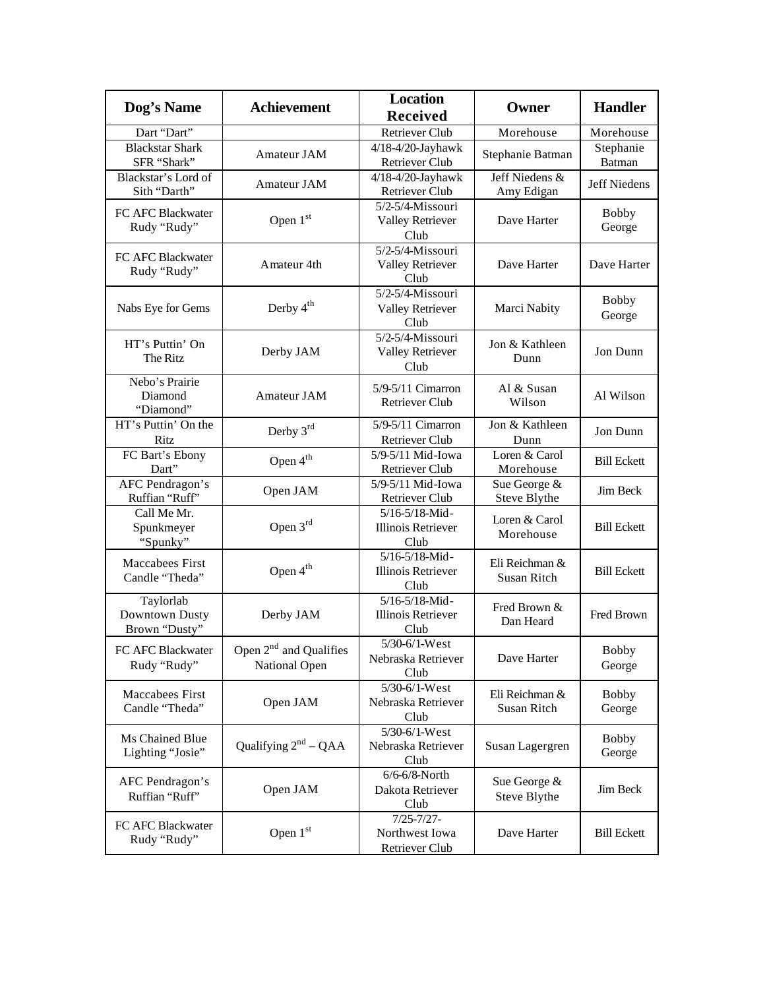| Dog's Name                                   | <b>Achievement</b>                                  | <b>Location</b><br><b>Received</b>                  | Owner                         | <b>Handler</b>         |
|----------------------------------------------|-----------------------------------------------------|-----------------------------------------------------|-------------------------------|------------------------|
| Dart "Dart"                                  |                                                     | <b>Retriever Club</b>                               | Morehouse                     | Morehouse              |
| <b>Blackstar Shark</b><br>SFR "Shark"        | Amateur JAM                                         | 4/18-4/20-Jayhawk<br><b>Retriever Club</b>          | Stephanie Batman              | Stephanie<br>Batman    |
| Blackstar's Lord of<br>Sith "Darth"          | Amateur JAM                                         | 4/18-4/20-Jayhawk<br><b>Retriever Club</b>          | Jeff Niedens &<br>Amy Edigan  | <b>Jeff Niedens</b>    |
| FC AFC Blackwater<br>Rudy "Rudy"             | Open $1st$                                          | 5/2-5/4-Missouri<br><b>Valley Retriever</b><br>Club | Dave Harter                   | <b>Bobby</b><br>George |
| FC AFC Blackwater<br>Rudy "Rudy"             | Amateur 4th                                         | 5/2-5/4-Missouri<br><b>Valley Retriever</b><br>Club | Dave Harter                   | Dave Harter            |
| Nabs Eye for Gems                            | Derby 4 <sup>th</sup>                               | 5/2-5/4-Missouri<br><b>Valley Retriever</b><br>Club | Marci Nabity                  | <b>Bobby</b><br>George |
| HT's Puttin' On<br>The Ritz                  | Derby JAM                                           | 5/2-5/4-Missouri<br><b>Valley Retriever</b><br>Club | Jon & Kathleen<br>Dunn        | Jon Dunn               |
| Nebo's Prairie<br>Diamond<br>"Diamond"       | Amateur JAM                                         | 5/9-5/11 Cimarron<br><b>Retriever Club</b>          | Al & Susan<br>Wilson          | Al Wilson              |
| HT's Puttin' On the<br>Ritz                  | Derby 3rd                                           | 5/9-5/11 Cimarron<br>Retriever Club                 | Jon & Kathleen<br>Dunn        | Jon Dunn               |
| FC Bart's Ebony<br>Dart"                     | Open 4 <sup>th</sup>                                | 5/9-5/11 Mid-Iowa<br>Retriever Club                 | Loren & Carol<br>Morehouse    | <b>Bill Eckett</b>     |
| AFC Pendragon's<br>Ruffian "Ruff"            | Open JAM                                            | 5/9-5/11 Mid-Iowa<br>Retriever Club                 | Sue George &<br>Steve Blythe  | Jim Beck               |
| Call Me Mr.<br>Spunkmeyer<br>"Spunky"        | Open $3rd$                                          | 5/16-5/18-Mid-<br><b>Illinois Retriever</b><br>Club | Loren & Carol<br>Morehouse    | <b>Bill Eckett</b>     |
| <b>Maccabees First</b><br>Candle "Theda"     | Open 4 <sup>th</sup>                                | 5/16-5/18-Mid-<br><b>Illinois Retriever</b><br>Club | Eli Reichman &<br>Susan Ritch | <b>Bill Eckett</b>     |
| Taylorlab<br>Downtown Dusty<br>Brown "Dusty" | Derby JAM                                           | 5/16-5/18-Mid-<br><b>Illinois Retriever</b><br>Club | Fred Brown &<br>Dan Heard     | Fred Brown             |
| FC AFC Blackwater<br>Rudy "Rudy"             | Open 2 <sup>nd</sup> and Qualifies<br>National Open | 5/30-6/1-West<br>Nebraska Retriever<br>Club         | Dave Harter                   | Bobby<br>George        |
| Maccabees First<br>Candle "Theda"            | Open JAM                                            | 5/30-6/1-West<br>Nebraska Retriever<br>Club         | Eli Reichman &<br>Susan Ritch | <b>Bobby</b><br>George |
| Ms Chained Blue<br>Lighting "Josie"          | Qualifying $2^{nd}$ – QAA                           | $5/30 - 6/1$ -West<br>Nebraska Retriever<br>Club    | Susan Lagergren               | <b>Bobby</b><br>George |
| AFC Pendragon's<br>Ruffian "Ruff"            | Open JAM                                            | $6/6 - 6/8$ -North<br>Dakota Retriever<br>Club      | Sue George &<br>Steve Blythe  | Jim Beck               |
| FC AFC Blackwater<br>Rudy "Rudy"             | Open $1st$                                          | $7/25 - 7/27 -$<br>Northwest Iowa<br>Retriever Club | Dave Harter                   | <b>Bill Eckett</b>     |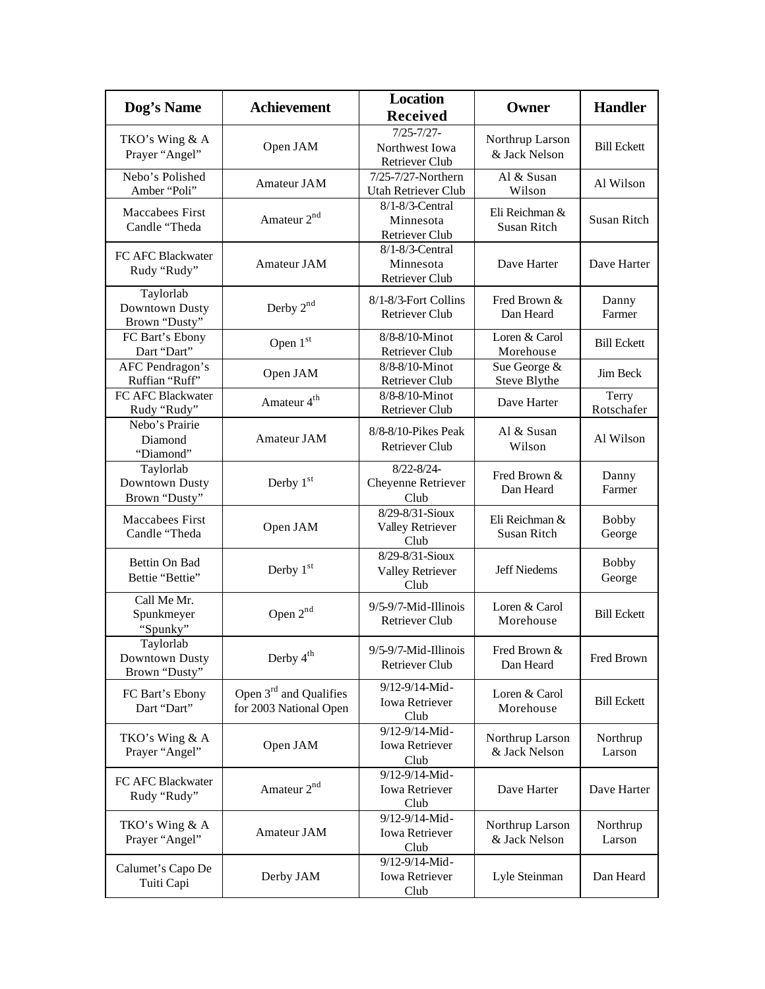| Dog's Name                                   | <b>Achievement</b>                                           | <b>Location</b><br><b>Received</b>                         | Owner                            | <b>Handler</b>         |
|----------------------------------------------|--------------------------------------------------------------|------------------------------------------------------------|----------------------------------|------------------------|
| TKO's Wing & A<br>Prayer "Angel"             | Open JAM                                                     | $7/25 - 7/27 -$<br>Northwest Iowa<br><b>Retriever Club</b> | Northrup Larson<br>& Jack Nelson | <b>Bill Eckett</b>     |
| Nebo's Polished<br>Amber "Poli"              | Amateur JAM                                                  | 7/25-7/27-Northern<br>Utah Retriever Club                  | Al & Susan<br>Wilson             | Al Wilson              |
| <b>Maccabees First</b><br>Candle "Theda      | Amateur 2 <sup>nd</sup>                                      | $8/1-8/3$ -Central<br>Minnesota<br>Retriever Club          | Eli Reichman &<br>Susan Ritch    | <b>Susan Ritch</b>     |
| FC AFC Blackwater<br>Rudy "Rudy"             | Amateur JAM                                                  | 8/1-8/3-Central<br>Minnesota<br><b>Retriever Club</b>      | Dave Harter                      | Dave Harter            |
| Taylorlab<br>Downtown Dusty<br>Brown "Dusty" | Derby 2 <sup>nd</sup>                                        | 8/1-8/3-Fort Collins<br><b>Retriever Club</b>              | Fred Brown &<br>Dan Heard        | Danny<br>Farmer        |
| FC Bart's Ebony<br>Dart "Dart"               | Open 1st                                                     | 8/8-8/10-Minot<br><b>Retriever Club</b>                    | Loren & Carol<br>Morehouse       | <b>Bill Eckett</b>     |
| AFC Pendragon's<br>Ruffian "Ruff"            | Open JAM                                                     | 8/8-8/10-Minot<br>Retriever Club                           | Sue George &<br>Steve Blythe     | Jim Beck               |
| FC AFC Blackwater<br>Rudy "Rudy"             | Amateur 4 <sup>th</sup>                                      | 8/8-8/10-Minot<br><b>Retriever Club</b>                    | Dave Harter                      | Terry<br>Rotschafer    |
| Nebo's Prairie<br>Diamond<br>"Diamond"       | Amateur JAM                                                  | 8/8-8/10-Pikes Peak<br><b>Retriever Club</b>               | Al & Susan<br>Wilson             | Al Wilson              |
| Taylorlab<br>Downtown Dusty<br>Brown "Dusty" | Derby $1st$                                                  | $8/22 - 8/24 -$<br>Cheyenne Retriever<br>Club              | Fred Brown &<br>Dan Heard        | Danny<br>Farmer        |
| <b>Maccabees First</b><br>Candle "Theda      | Open JAM                                                     | $8/29 - 8/31 -$ Sioux<br><b>Valley Retriever</b><br>Club   | Eli Reichman &<br>Susan Ritch    | <b>Bobby</b><br>George |
| Bettin On Bad<br>Bettie "Bettie"             | Derby $1st$                                                  | 8/29-8/31-Sioux<br><b>Valley Retriever</b><br>Club         | <b>Jeff Niedems</b>              | <b>Bobby</b><br>George |
| Call Me Mr.<br>Spunkmeyer<br>"Spunky"        | Open 2 <sup>nd</sup>                                         | 9/5-9/7-Mid-Illinois<br><b>Retriever Club</b>              | Loren & Carol<br>Morehouse       | <b>Bill Eckett</b>     |
| Taylorlab<br>Downtown Dusty<br>Brown "Dusty" | Derby 4 <sup>th</sup>                                        | 9/5-9/7-Mid-Illinois<br><b>Retriever Club</b>              | Fred Brown &<br>Dan Heard        | Fred Brown             |
| FC Bart's Ebony<br>Dart "Dart"               | Open 3 <sup>rd</sup> and Qualifies<br>for 2003 National Open | 9/12-9/14-Mid-<br>Iowa Retriever<br>Club                   | Loren & Carol<br>Morehouse       | <b>Bill Eckett</b>     |
| TKO's Wing & A<br>Prayer "Angel"             | Open JAM                                                     | 9/12-9/14-Mid-<br>Iowa Retriever<br>Club                   | Northrup Larson<br>& Jack Nelson | Northrup<br>Larson     |
| FC AFC Blackwater<br>Rudy "Rudy"             | Amateur 2 <sup>nd</sup>                                      | $9/12 - 9/14$ -Mid-<br><b>Iowa Retriever</b><br>Club       | Dave Harter                      | Dave Harter            |
| TKO's Wing & A<br>Prayer "Angel"             | Amateur JAM                                                  | 9/12-9/14-Mid-<br><b>Iowa Retriever</b><br>Club            | Northrup Larson<br>& Jack Nelson | Northrup<br>Larson     |
| Calumet's Capo De<br>Tuiti Capi              | Derby JAM                                                    | 9/12-9/14-Mid-<br><b>Iowa Retriever</b><br>Club            | Lyle Steinman                    | Dan Heard              |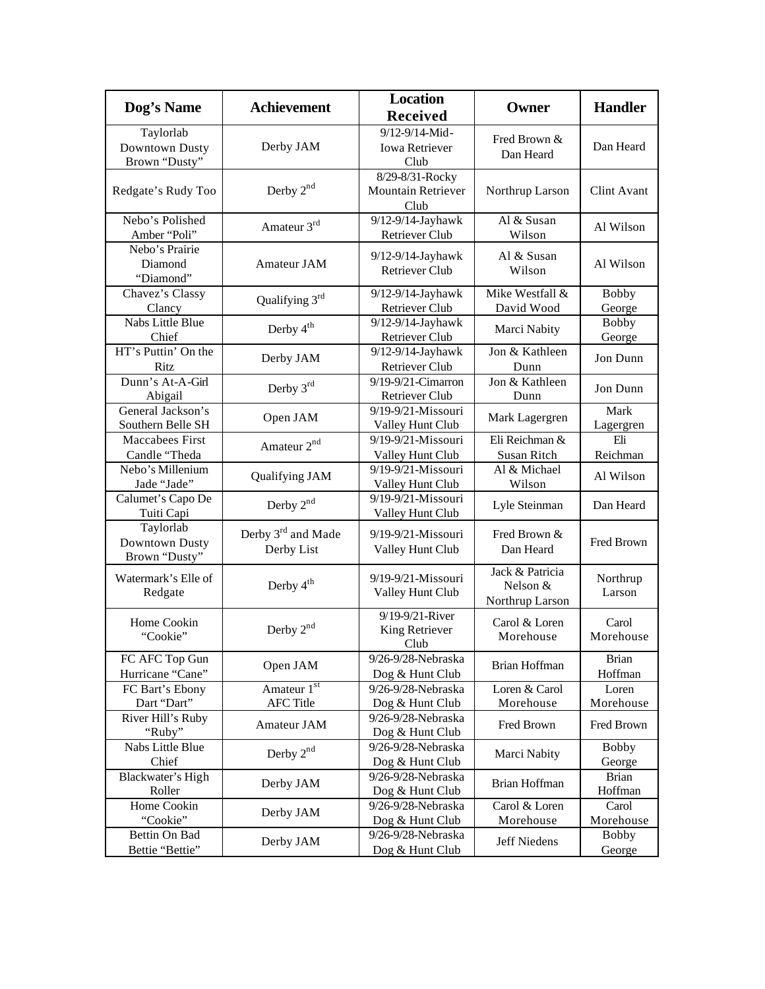| Dog's Name                                   | <b>Achievement</b>                           | <b>Location</b><br><b>Received</b>              | Owner                                          | <b>Handler</b>          |
|----------------------------------------------|----------------------------------------------|-------------------------------------------------|------------------------------------------------|-------------------------|
| Taylorlab<br>Downtown Dusty<br>Brown "Dusty" | Derby JAM                                    | 9/12-9/14-Mid-<br><b>Iowa Retriever</b><br>Club | Fred Brown &<br>Dan Heard                      | Dan Heard               |
| Redgate's Rudy Too                           | Derby $2nd$                                  | 8/29-8/31-Rocky<br>Mountain Retriever<br>Club   | Northrup Larson                                | Clint Avant             |
| Nebo's Polished<br>Amber "Poli"              | Amateur 3rd                                  | 9/12-9/14-Jayhawk<br>Retriever Club             | Al & Susan<br>Wilson                           | Al Wilson               |
| Nebo's Prairie<br>Diamond<br>"Diamond"       | Amateur JAM                                  | 9/12-9/14-Jayhawk<br><b>Retriever Club</b>      | Al & Susan<br>Wilson                           | Al Wilson               |
| Chavez's Classy<br>Clancy                    | Qualifying 3rd                               | 9/12-9/14-Jayhawk<br>Retriever Club             | Mike Westfall &<br>David Wood                  | <b>Bobby</b><br>George  |
| Nabs Little Blue<br>Chief                    | Derby 4 <sup>th</sup>                        | 9/12-9/14-Jayhawk<br>Retriever Club             | Marci Nabity                                   | <b>Bobby</b><br>George  |
| HT's Puttin' On the<br>Ritz                  | Derby JAM                                    | 9/12-9/14-Jayhawk<br><b>Retriever Club</b>      | Jon & Kathleen<br>Dunn                         | Jon Dunn                |
| Dunn's At-A-Girl<br>Abigail                  | Derby 3rd                                    | 9/19-9/21-Cimarron<br>Retriever Club            | Jon & Kathleen<br>Dunn                         | Jon Dunn                |
| General Jackson's<br>Southern Belle SH       | Open JAM                                     | 9/19-9/21-Missouri<br>Valley Hunt Club          | Mark Lagergren                                 | Mark<br>Lagergren       |
| Maccabees First<br>Candle "Theda             | Amateur 2 <sup>nd</sup>                      | 9/19-9/21-Missouri<br>Valley Hunt Club          | Eli Reichman &<br><b>Susan Ritch</b>           | Eli<br>Reichman         |
| Nebo's Millenium<br>Jade "Jade"              | Qualifying JAM                               | 9/19-9/21-Missouri<br>Valley Hunt Club          | Al & Michael<br>Wilson                         | Al Wilson               |
| Calumet's Capo De<br>Tuiti Capi              | Derby 2 <sup>nd</sup>                        | 9/19-9/21-Missouri<br>Valley Hunt Club          | Lyle Steinman                                  | Dan Heard               |
| Taylorlab<br>Downtown Dusty<br>Brown "Dusty" | Derby 3 <sup>rd</sup> and Made<br>Derby List | 9/19-9/21-Missouri<br>Valley Hunt Club          | Fred Brown &<br>Dan Heard                      | Fred Brown              |
| Watermark's Elle of<br>Redgate               | Derby 4 <sup>th</sup>                        | $9/19 - 9/21$ -Missouri<br>Valley Hunt Club     | Jack & Patricia<br>Nelson &<br>Northrup Larson | Northrup<br>Larson      |
| Home Cookin<br>"Cookie"                      | Derby $2^{nd}$                               | 9/19-9/21-River<br>King Retriever<br>Club       | Carol & Loren<br>Morehouse                     | Carol<br>Morehouse      |
| FC AFC Top Gun<br>Hurricane "Cane"           | Open JAM                                     | 9/26-9/28-Nebraska<br>Dog & Hunt Club           | Brian Hoffman                                  | <b>Brian</b><br>Hoffman |
| FC Bart's Ebony<br>Dart "Dart"               | Amateur 1st<br><b>AFC Title</b>              | 9/26-9/28-Nebraska<br>Dog & Hunt Club           | Loren & Carol<br>Morehouse                     | Loren<br>Morehouse      |
| River Hill's Ruby<br>"Ruby"                  | Amateur JAM                                  | 9/26-9/28-Nebraska<br>Dog & Hunt Club           | Fred Brown                                     | Fred Brown              |
| Nabs Little Blue<br>Chief                    | Derby $2^{nd}$                               | 9/26-9/28-Nebraska<br>Dog & Hunt Club           | Marci Nabity                                   | <b>Bobby</b><br>George  |
| Blackwater's High<br>Roller                  | Derby JAM                                    | 9/26-9/28-Nebraska<br>Dog & Hunt Club           | Brian Hoffman                                  | <b>Brian</b><br>Hoffman |
| Home Cookin<br>"Cookie"                      | Derby JAM                                    | 9/26-9/28-Nebraska<br>Dog & Hunt Club           | Carol & Loren<br>Morehouse                     | Carol<br>Morehouse      |
| Bettin On Bad<br>Bettie "Bettie"             | Derby JAM                                    | 9/26-9/28-Nebraska<br>Dog & Hunt Club           | Jeff Niedens                                   | <b>Bobby</b><br>George  |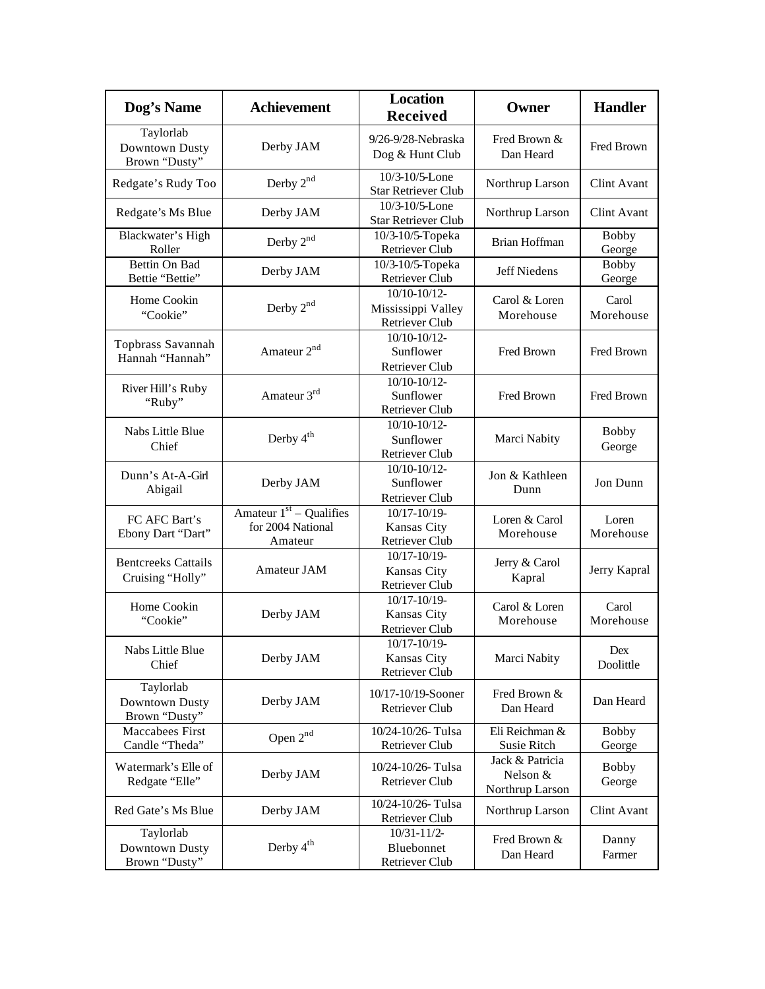| Dog's Name                                     | <b>Achievement</b>                                        | <b>Location</b><br><b>Received</b>                          | Owner                                          | <b>Handler</b>         |
|------------------------------------------------|-----------------------------------------------------------|-------------------------------------------------------------|------------------------------------------------|------------------------|
| Taylorlab<br>Downtown Dusty<br>Brown "Dusty"   | Derby JAM                                                 | 9/26-9/28-Nebraska<br>Dog & Hunt Club                       | Fred Brown &<br>Dan Heard                      | Fred Brown             |
| Redgate's Rudy Too                             | Derby 2 <sup>nd</sup>                                     | 10/3-10/5-Lone<br>Star Retriever Club                       | Northrup Larson                                | <b>Clint Avant</b>     |
| Redgate's Ms Blue                              | Derby JAM                                                 | 10/3-10/5-Lone<br><b>Star Retriever Club</b>                | Northrup Larson                                | <b>Clint Avant</b>     |
| Blackwater's High<br>Roller                    | Derby $2^{nd}$                                            | 10/3-10/5-Topeka<br>Retriever Club                          | Brian Hoffman                                  | <b>Bobby</b><br>George |
| Bettin On Bad<br>Bettie "Bettie"               | Derby JAM                                                 | $10/3 - 10/5$ -Topeka<br>Retriever Club                     | <b>Jeff Niedens</b>                            | <b>Bobby</b><br>George |
| Home Cookin<br>"Cookie"                        | Derby $2nd$                                               | 10/10-10/12-<br>Mississippi Valley<br><b>Retriever Club</b> | Carol & Loren<br>Morehouse                     | Carol<br>Morehouse     |
| Topbrass Savannah<br>Hannah "Hannah"           | Amateur 2 <sup>nd</sup>                                   | $10/10-10/12-$<br>Sunflower<br>Retriever Club               | Fred Brown                                     | Fred Brown             |
| River Hill's Ruby<br>"Ruby"                    | Amateur 3rd                                               | 10/10-10/12-<br>Sunflower<br>Retriever Club                 | Fred Brown                                     | Fred Brown             |
| Nabs Little Blue<br>Chief                      | Derby 4 <sup>th</sup>                                     | 10/10-10/12-<br>Sunflower<br>Retriever Club                 | Marci Nabity                                   | <b>Bobby</b><br>George |
| Dunn's At-A-Girl<br>Abigail                    | Derby JAM                                                 | 10/10-10/12-<br>Sunflower<br>Retriever Club                 | Jon & Kathleen<br>Dunn                         | Jon Dunn               |
| FC AFC Bart's<br>Ebony Dart "Dart"             | Amateur $1st -$ Qualifies<br>for 2004 National<br>Amateur | 10/17-10/19-<br>Kansas City<br>Retriever Club               | Loren & Carol<br>Morehouse                     | Loren<br>Morehouse     |
| <b>Bentcreeks Cattails</b><br>Cruising "Holly" | Amateur JAM                                               | $10/17 - 10/19$<br>Kansas City<br>Retriever Club            | Jerry & Carol<br>Kapral                        | Jerry Kapral           |
| Home Cookin<br>"Cookie"                        | Derby JAM                                                 | 10/17-10/19-<br>Kansas City<br>Retriever Club               | Carol & Loren<br>Morehouse                     | Carol<br>Morehouse     |
| Nabs Little Blue<br>Chief                      | Derby JAM                                                 | $10/17 - 10/19$ -<br>Kansas City<br><b>Retriever Club</b>   | Marci Nabity                                   | Dex<br>Doolittle       |
| Taylorlab<br>Downtown Dusty<br>Brown "Dusty"   | Derby JAM                                                 | 10/17-10/19-Sooner<br>Retriever Club                        | Fred Brown &<br>Dan Heard                      | Dan Heard              |
| Maccabees First<br>Candle "Theda"              | Open 2nd                                                  | 10/24-10/26-Tulsa<br>Retriever Club                         | Eli Reichman &<br>Susie Ritch                  | <b>Bobby</b><br>George |
| Watermark's Elle of<br>Redgate "Elle"          | Derby JAM                                                 | 10/24-10/26- Tulsa<br>Retriever Club                        | Jack & Patricia<br>Nelson &<br>Northrup Larson | <b>Bobby</b><br>George |
| Red Gate's Ms Blue                             | Derby JAM                                                 | 10/24-10/26-Tulsa<br>Retriever Club                         | Northrup Larson                                | Clint Avant            |
| Taylorlab<br>Downtown Dusty<br>Brown "Dusty"   | Derby 4 <sup>th</sup>                                     | $10/31 - 11/2$<br>Bluebonnet<br>Retriever Club              | Fred Brown &<br>Dan Heard                      | Danny<br>Farmer        |